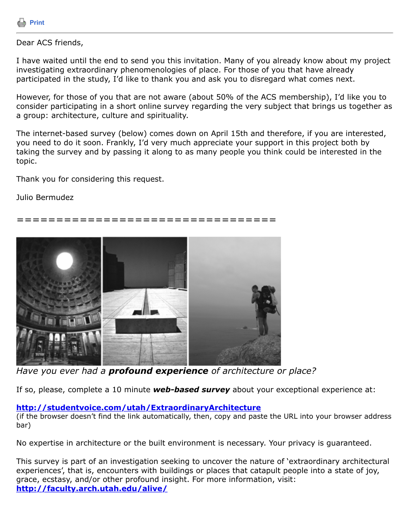

## Dear ACS friends,

I have waited until the end to send you this invitation. Many of you already know about my project investigating extraordinary phenomenologies of place. For those of you that have already participated in the study, I'd like to thank you and ask you to disregard what comes next.

However, for those of you that are not aware (about 50% of the ACS membership), I'd like you to consider participating in a short online survey regarding the very subject that brings us together as a group: architecture, culture and spirituality.

The internet-based survey (below) comes down on April 15th and therefore, if you are interested, you need to do it soon. Frankly, I'd very much appreciate your support in this project both by taking the survey and by passing it along to as many people you think could be interested in the topic.

Thank you for considering this request.

Julio Bermudez

## =================================



*Have you ever had a profound experience of architecture or place?*

If so, please, complete a 10 minute *web-based survey* about your exceptional experience at:

## **<http://studentvoice.com/utah/ExtraordinaryArchitecture>**

(if the browser doesn't find the link automatically, then, copy and paste the URL into your browser address bar)

No expertise in architecture or the built environment is necessary. Your privacy is guaranteed.

This survey is part of an investigation seeking to uncover the nature of 'extraordinary architectural experiences', that is, encounters with buildings or places that catapult people into a state of joy, grace, ecstasy, and/or other profound insight. For more information, visit: **<http://faculty.arch.utah.edu/alive/>**